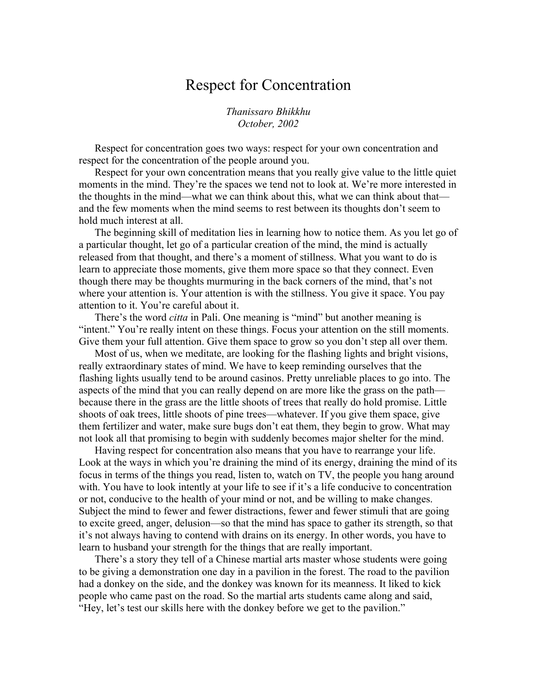## Respect for Concentration

*Thanissaro Bhikkhu October, 2002*

Respect for concentration goes two ways: respect for your own concentration and respect for the concentration of the people around you.

Respect for your own concentration means that you really give value to the little quiet moments in the mind. They're the spaces we tend not to look at. We're more interested in the thoughts in the mind—what we can think about this, what we can think about that and the few moments when the mind seems to rest between its thoughts don't seem to hold much interest at all.

The beginning skill of meditation lies in learning how to notice them. As you let go of a particular thought, let go of a particular creation of the mind, the mind is actually released from that thought, and there's a moment of stillness. What you want to do is learn to appreciate those moments, give them more space so that they connect. Even though there may be thoughts murmuring in the back corners of the mind, that's not where your attention is. Your attention is with the stillness. You give it space. You pay attention to it. You're careful about it.

There's the word *citta* in Pali. One meaning is "mind" but another meaning is "intent." You're really intent on these things. Focus your attention on the still moments. Give them your full attention. Give them space to grow so you don't step all over them.

Most of us, when we meditate, are looking for the flashing lights and bright visions, really extraordinary states of mind. We have to keep reminding ourselves that the flashing lights usually tend to be around casinos. Pretty unreliable places to go into. The aspects of the mind that you can really depend on are more like the grass on the path because there in the grass are the little shoots of trees that really do hold promise. Little shoots of oak trees, little shoots of pine trees—whatever. If you give them space, give them fertilizer and water, make sure bugs don't eat them, they begin to grow. What may not look all that promising to begin with suddenly becomes major shelter for the mind.

Having respect for concentration also means that you have to rearrange your life. Look at the ways in which you're draining the mind of its energy, draining the mind of its focus in terms of the things you read, listen to, watch on TV, the people you hang around with. You have to look intently at your life to see if it's a life conducive to concentration or not, conducive to the health of your mind or not, and be willing to make changes. Subject the mind to fewer and fewer distractions, fewer and fewer stimuli that are going to excite greed, anger, delusion—so that the mind has space to gather its strength, so that it's not always having to contend with drains on its energy. In other words, you have to learn to husband your strength for the things that are really important.

There's a story they tell of a Chinese martial arts master whose students were going to be giving a demonstration one day in a pavilion in the forest. The road to the pavilion had a donkey on the side, and the donkey was known for its meanness. It liked to kick people who came past on the road. So the martial arts students came along and said, "Hey, let's test our skills here with the donkey before we get to the pavilion."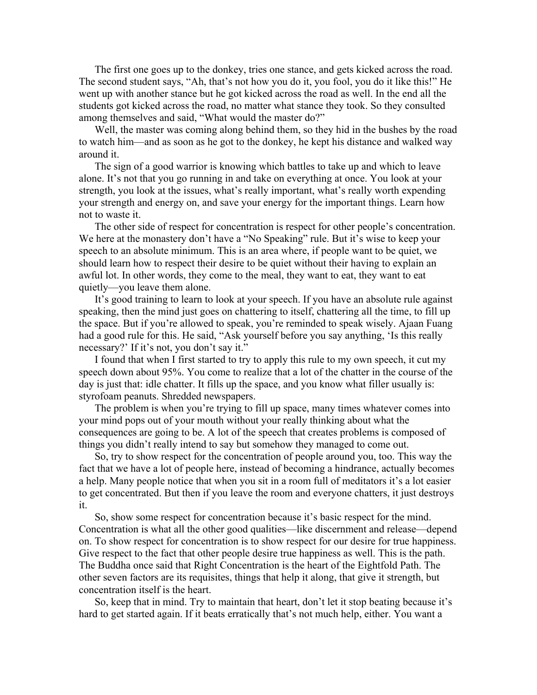The first one goes up to the donkey, tries one stance, and gets kicked across the road. The second student says, "Ah, that's not how you do it, you fool, you do it like this!" He went up with another stance but he got kicked across the road as well. In the end all the students got kicked across the road, no matter what stance they took. So they consulted among themselves and said, "What would the master do?"

Well, the master was coming along behind them, so they hid in the bushes by the road to watch him—and as soon as he got to the donkey, he kept his distance and walked way around it.

The sign of a good warrior is knowing which battles to take up and which to leave alone. It's not that you go running in and take on everything at once. You look at your strength, you look at the issues, what's really important, what's really worth expending your strength and energy on, and save your energy for the important things. Learn how not to waste it.

The other side of respect for concentration is respect for other people's concentration. We here at the monastery don't have a "No Speaking" rule. But it's wise to keep your speech to an absolute minimum. This is an area where, if people want to be quiet, we should learn how to respect their desire to be quiet without their having to explain an awful lot. In other words, they come to the meal, they want to eat, they want to eat quietly—you leave them alone.

It's good training to learn to look at your speech. If you have an absolute rule against speaking, then the mind just goes on chattering to itself, chattering all the time, to fill up the space. But if you're allowed to speak, you're reminded to speak wisely. Ajaan Fuang had a good rule for this. He said, "Ask yourself before you say anything, 'Is this really necessary?' If it's not, you don't say it."

I found that when I first started to try to apply this rule to my own speech, it cut my speech down about 95%. You come to realize that a lot of the chatter in the course of the day is just that: idle chatter. It fills up the space, and you know what filler usually is: styrofoam peanuts. Shredded newspapers.

The problem is when you're trying to fill up space, many times whatever comes into your mind pops out of your mouth without your really thinking about what the consequences are going to be. A lot of the speech that creates problems is composed of things you didn't really intend to say but somehow they managed to come out.

So, try to show respect for the concentration of people around you, too. This way the fact that we have a lot of people here, instead of becoming a hindrance, actually becomes a help. Many people notice that when you sit in a room full of meditators it's a lot easier to get concentrated. But then if you leave the room and everyone chatters, it just destroys it.

So, show some respect for concentration because it's basic respect for the mind. Concentration is what all the other good qualities—like discernment and release—depend on. To show respect for concentration is to show respect for our desire for true happiness. Give respect to the fact that other people desire true happiness as well. This is the path. The Buddha once said that Right Concentration is the heart of the Eightfold Path. The other seven factors are its requisites, things that help it along, that give it strength, but concentration itself is the heart.

So, keep that in mind. Try to maintain that heart, don't let it stop beating because it's hard to get started again. If it beats erratically that's not much help, either. You want a